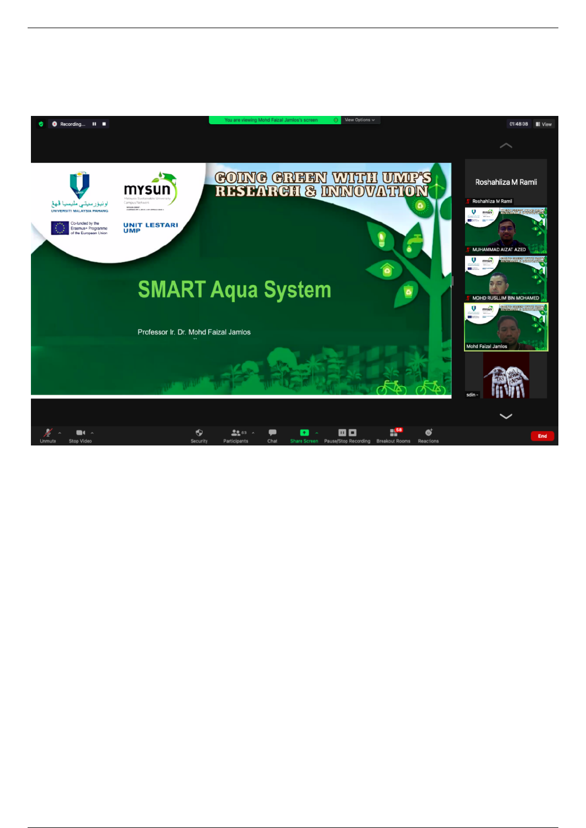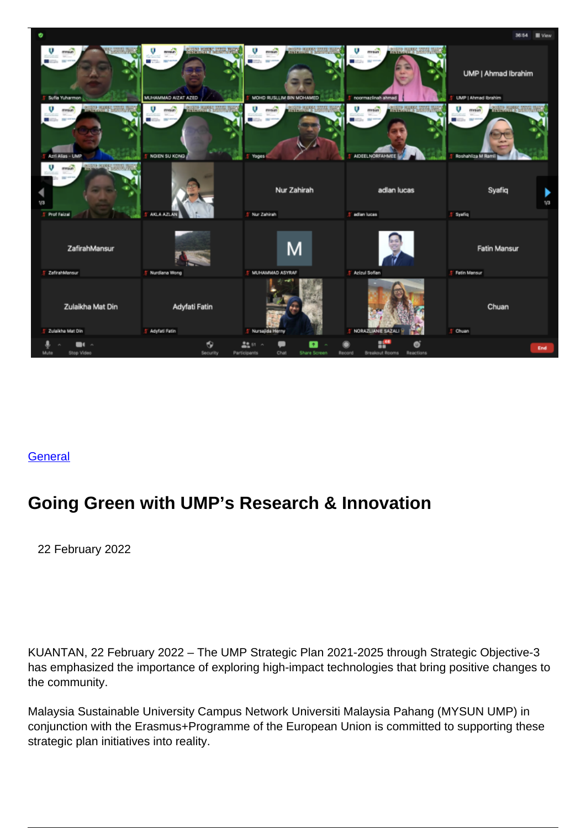

## **[General](/general)**

## **Going Green with UMP's Research & Innovation**

22 February 2022

KUANTAN, 22 February 2022 – The UMP Strategic Plan 2021-2025 through Strategic Objective-3 has emphasized the importance of exploring high-impact technologies that bring positive changes to the community.

Malaysia Sustainable University Campus Network Universiti Malaysia Pahang (MYSUN UMP) in conjunction with the Erasmus+Programme of the European Union is committed to supporting these strategic plan initiatives into reality.